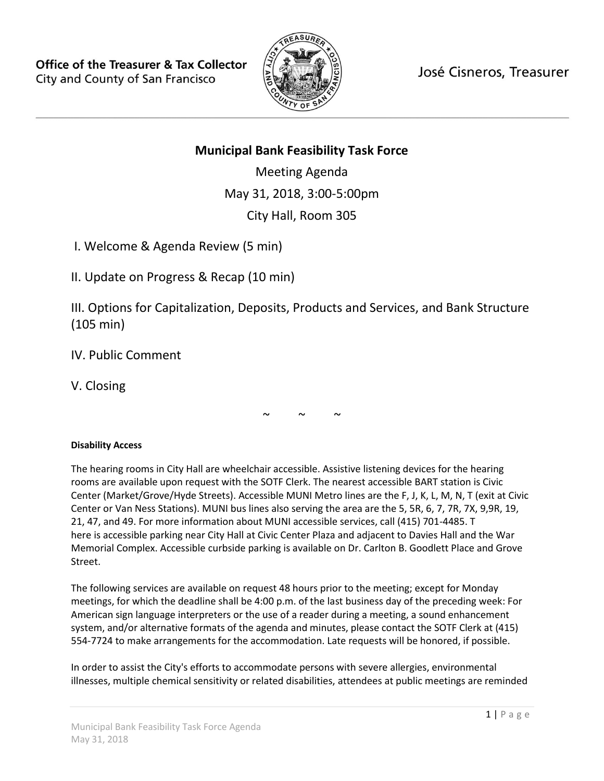

José Cisneros, Treasurer

# **Municipal Bank Feasibility Task Force**

Meeting Agenda May 31, 2018, 3:00-5:00pm City Hall, Room 305

I. Welcome & Agenda Review (5 min)

II. Update on Progress & Recap (10 min)

III. Options for Capitalization, Deposits, Products and Services, and Bank Structure (105 min)

IV. Public Comment

V. Closing

 $\sim$   $\sim$   $\sim$ 

## **Disability Access**

The hearing rooms in City Hall are wheelchair accessible. Assistive listening devices for the hearing rooms are available upon request with the SOTF Clerk. The nearest accessible BART station is Civic Center (Market/Grove/Hyde Streets). Accessible MUNI Metro lines are the F, J, K, L, M, N, T (exit at Civic Center or Van Ness Stations). MUNI bus lines also serving the area are the 5, 5R, 6, 7, 7R, 7X, 9,9R, 19, 21, 47, and 49. For more information about MUNI accessible services, call (415) 701-4485. T here is accessible parking near City Hall at Civic Center Plaza and adjacent to Davies Hall and the War Memorial Complex. Accessible curbside parking is available on Dr. Carlton B. Goodlett Place and Grove Street.

The following services are available on request 48 hours prior to the meeting; except for Monday meetings, for which the deadline shall be 4:00 p.m. of the last business day of the preceding week: For American sign language interpreters or the use of a reader during a meeting, a sound enhancement system, and/or alternative formats of the agenda and minutes, please contact the SOTF Clerk at (415) 554-7724 to make arrangements for the accommodation. Late requests will be honored, if possible.

In order to assist the City's efforts to accommodate persons with severe allergies, environmental illnesses, multiple chemical sensitivity or related disabilities, attendees at public meetings are reminded